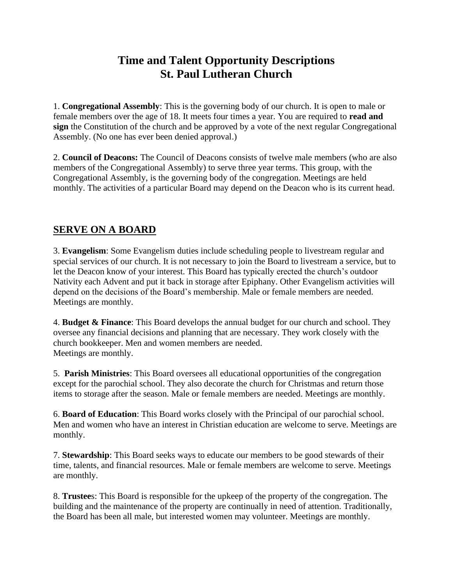# **Time and Talent Opportunity Descriptions St. Paul Lutheran Church**

1. **Congregational Assembly**: This is the governing body of our church. It is open to male or female members over the age of 18. It meets four times a year. You are required to **read and sign** the Constitution of the church and be approved by a vote of the next regular Congregational Assembly. (No one has ever been denied approval.)

2. **Council of Deacons:** The Council of Deacons consists of twelve male members (who are also members of the Congregational Assembly) to serve three year terms. This group, with the Congregational Assembly, is the governing body of the congregation. Meetings are held monthly. The activities of a particular Board may depend on the Deacon who is its current head.

#### **SERVE ON A BOARD**

3. **Evangelism**: Some Evangelism duties include scheduling people to livestream regular and special services of our church. It is not necessary to join the Board to livestream a service, but to let the Deacon know of your interest. This Board has typically erected the church's outdoor Nativity each Advent and put it back in storage after Epiphany. Other Evangelism activities will depend on the decisions of the Board's membership. Male or female members are needed. Meetings are monthly.

4. **Budget & Finance**: This Board develops the annual budget for our church and school. They oversee any financial decisions and planning that are necessary. They work closely with the church bookkeeper. Men and women members are needed. Meetings are monthly.

5. **Parish Ministries**: This Board oversees all educational opportunities of the congregation except for the parochial school. They also decorate the church for Christmas and return those items to storage after the season. Male or female members are needed. Meetings are monthly.

6. **Board of Education**: This Board works closely with the Principal of our parochial school. Men and women who have an interest in Christian education are welcome to serve. Meetings are monthly.

7. **Stewardship**: This Board seeks ways to educate our members to be good stewards of their time, talents, and financial resources. Male or female members are welcome to serve. Meetings are monthly.

8. **Trustee**s: This Board is responsible for the upkeep of the property of the congregation. The building and the maintenance of the property are continually in need of attention. Traditionally, the Board has been all male, but interested women may volunteer. Meetings are monthly.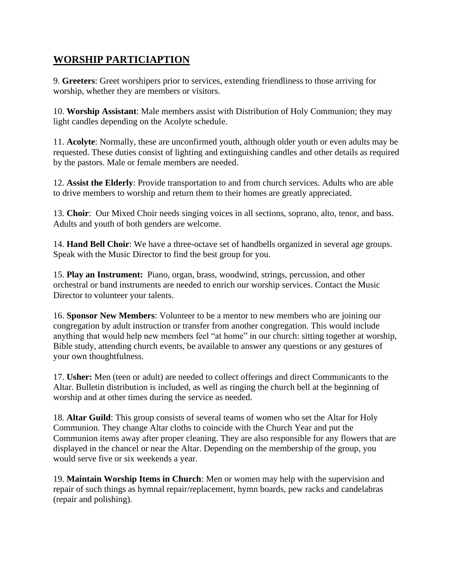### **WORSHIP PARTICIAPTION**

9. **Greeters**: Greet worshipers prior to services, extending friendliness to those arriving for worship, whether they are members or visitors.

10. **Worship Assistant**: Male members assist with Distribution of Holy Communion; they may light candles depending on the Acolyte schedule.

11. **Acolyte**: Normally, these are unconfirmed youth, although older youth or even adults may be requested. These duties consist of lighting and extinguishing candles and other details as required by the pastors. Male or female members are needed.

12. **Assist the Elderly**: Provide transportation to and from church services. Adults who are able to drive members to worship and return them to their homes are greatly appreciated.

13. **Choir**: Our Mixed Choir needs singing voices in all sections, soprano, alto, tenor, and bass. Adults and youth of both genders are welcome.

14. **Hand Bell Choir**: We have a three-octave set of handbells organized in several age groups. Speak with the Music Director to find the best group for you.

15. **Play an Instrument:** Piano, organ, brass, woodwind, strings, percussion, and other orchestral or band instruments are needed to enrich our worship services. Contact the Music Director to volunteer your talents.

16. **Sponsor New Members**: Volunteer to be a mentor to new members who are joining our congregation by adult instruction or transfer from another congregation. This would include anything that would help new members feel "at home" in our church: sitting together at worship, Bible study, attending church events, be available to answer any questions or any gestures of your own thoughtfulness.

17. **Usher:** Men (teen or adult) are needed to collect offerings and direct Communicants to the Altar. Bulletin distribution is included, as well as ringing the church bell at the beginning of worship and at other times during the service as needed.

18. **Altar Guild**: This group consists of several teams of women who set the Altar for Holy Communion. They change Altar cloths to coincide with the Church Year and put the Communion items away after proper cleaning. They are also responsible for any flowers that are displayed in the chancel or near the Altar. Depending on the membership of the group, you would serve five or six weekends a year.

19. **Maintain Worship Items in Church**: Men or women may help with the supervision and repair of such things as hymnal repair/replacement, hymn boards, pew racks and candelabras (repair and polishing).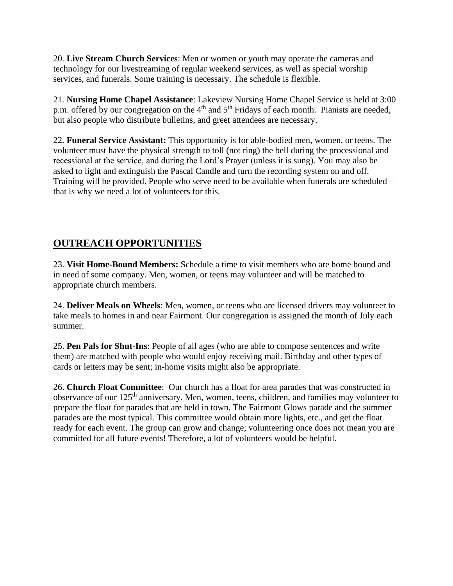20. **Live Stream Church Services**: Men or women or youth may operate the cameras and technology for our livestreaming of regular weekend services, as well as special worship services, and funerals. Some training is necessary. The schedule is flexible.

21. **Nursing Home Chapel Assistance**: Lakeview Nursing Home Chapel Service is held at 3:00 p.m. offered by our congregation on the 4<sup>th</sup> and 5<sup>th</sup> Fridays of each month. Pianists are needed, but also people who distribute bulletins, and greet attendees are necessary.

22. **Funeral Service Assistant:** This opportunity is for able-bodied men, women, or teens. The volunteer must have the physical strength to toll (not ring) the bell during the processional and recessional at the service, and during the Lord's Prayer (unless it is sung). You may also be asked to light and extinguish the Pascal Candle and turn the recording system on and off. Training will be provided. People who serve need to be available when funerals are scheduled – that is why we need a lot of volunteers for this.

### **OUTREACH OPPORTUNITIES**

23. **Visit Home-Bound Members:** Schedule a time to visit members who are home bound and in need of some company. Men, women, or teens may volunteer and will be matched to appropriate church members.

24. **Deliver Meals on Wheels**: Men, women, or teens who are licensed drivers may volunteer to take meals to homes in and near Fairmont. Our congregation is assigned the month of July each summer.

25. **Pen Pals for Shut-Ins**: People of all ages (who are able to compose sentences and write them) are matched with people who would enjoy receiving mail. Birthday and other types of cards or letters may be sent; in-home visits might also be appropriate.

26. **Church Float Committee**: Our church has a float for area parades that was constructed in observance of our 125<sup>th</sup> anniversary. Men, women, teens, children, and families may volunteer to prepare the float for parades that are held in town. The Fairmont Glows parade and the summer parades are the most typical. This committee would obtain more lights, etc., and get the float ready for each event. The group can grow and change; volunteering once does not mean you are committed for all future events! Therefore, a lot of volunteers would be helpful.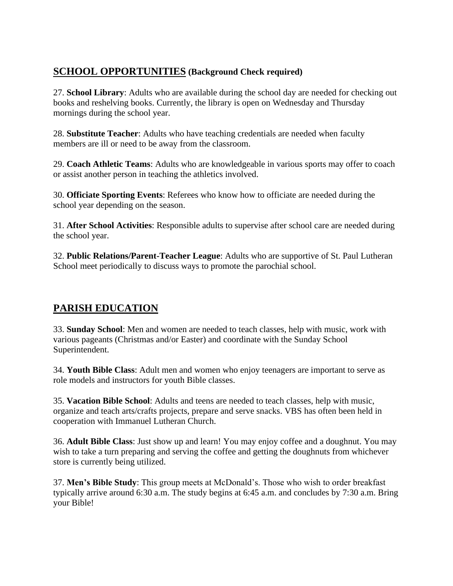### **SCHOOL OPPORTUNITIES (Background Check required)**

27. **School Library**: Adults who are available during the school day are needed for checking out books and reshelving books. Currently, the library is open on Wednesday and Thursday mornings during the school year.

28. **Substitute Teacher**: Adults who have teaching credentials are needed when faculty members are ill or need to be away from the classroom.

29. **Coach Athletic Teams**: Adults who are knowledgeable in various sports may offer to coach or assist another person in teaching the athletics involved.

30. **Officiate Sporting Events**: Referees who know how to officiate are needed during the school year depending on the season.

31. **After School Activities**: Responsible adults to supervise after school care are needed during the school year.

32. **Public Relations/Parent-Teacher League**: Adults who are supportive of St. Paul Lutheran School meet periodically to discuss ways to promote the parochial school.

## **PARISH EDUCATION**

33. **Sunday School**: Men and women are needed to teach classes, help with music, work with various pageants (Christmas and/or Easter) and coordinate with the Sunday School Superintendent.

34. **Youth Bible Class**: Adult men and women who enjoy teenagers are important to serve as role models and instructors for youth Bible classes.

35. **Vacation Bible School**: Adults and teens are needed to teach classes, help with music, organize and teach arts/crafts projects, prepare and serve snacks. VBS has often been held in cooperation with Immanuel Lutheran Church.

36. **Adult Bible Class**: Just show up and learn! You may enjoy coffee and a doughnut. You may wish to take a turn preparing and serving the coffee and getting the doughnuts from whichever store is currently being utilized.

37. **Men's Bible Study**: This group meets at McDonald's. Those who wish to order breakfast typically arrive around 6:30 a.m. The study begins at 6:45 a.m. and concludes by 7:30 a.m. Bring your Bible!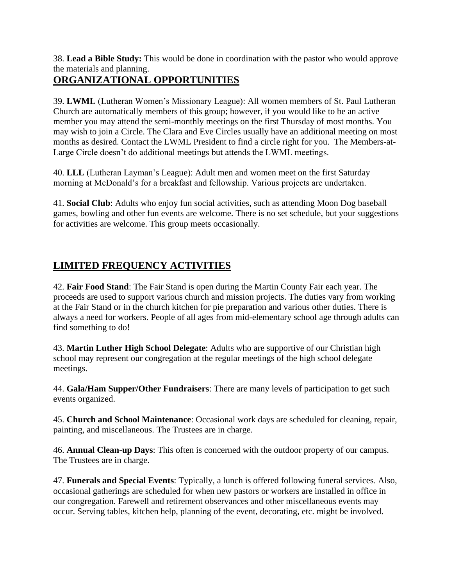38. **Lead a Bible Study:** This would be done in coordination with the pastor who would approve the materials and planning.

## **ORGANIZATIONAL OPPORTUNITIES**

39. **LWML** (Lutheran Women's Missionary League): All women members of St. Paul Lutheran Church are automatically members of this group; however, if you would like to be an active member you may attend the semi-monthly meetings on the first Thursday of most months. You may wish to join a Circle. The Clara and Eve Circles usually have an additional meeting on most months as desired. Contact the LWML President to find a circle right for you. The Members-at-Large Circle doesn't do additional meetings but attends the LWML meetings.

40. **LLL** (Lutheran Layman's League): Adult men and women meet on the first Saturday morning at McDonald's for a breakfast and fellowship. Various projects are undertaken.

41. **Social Club**: Adults who enjoy fun social activities, such as attending Moon Dog baseball games, bowling and other fun events are welcome. There is no set schedule, but your suggestions for activities are welcome. This group meets occasionally.

# **LIMITED FREQUENCY ACTIVITIES**

42. **Fair Food Stand**: The Fair Stand is open during the Martin County Fair each year. The proceeds are used to support various church and mission projects. The duties vary from working at the Fair Stand or in the church kitchen for pie preparation and various other duties. There is always a need for workers. People of all ages from mid-elementary school age through adults can find something to do!

43. **Martin Luther High School Delegate**: Adults who are supportive of our Christian high school may represent our congregation at the regular meetings of the high school delegate meetings.

44. **Gala/Ham Supper/Other Fundraisers**: There are many levels of participation to get such events organized.

45. **Church and School Maintenance**: Occasional work days are scheduled for cleaning, repair, painting, and miscellaneous. The Trustees are in charge.

46. **Annual Clean-up Days**: This often is concerned with the outdoor property of our campus. The Trustees are in charge.

47. **Funerals and Special Events**: Typically, a lunch is offered following funeral services. Also, occasional gatherings are scheduled for when new pastors or workers are installed in office in our congregation. Farewell and retirement observances and other miscellaneous events may occur. Serving tables, kitchen help, planning of the event, decorating, etc. might be involved.